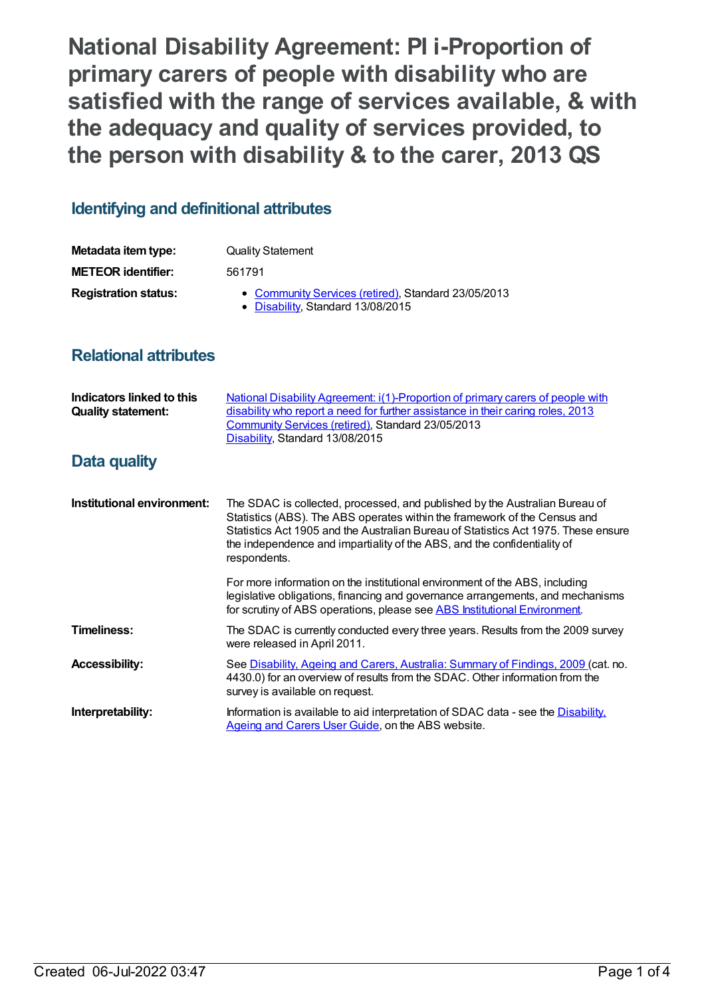**National Disability Agreement: PI i-Proportion of primary carers of people with disability who are satisfied with the range of services available, & with the adequacy and quality of services provided, to the person with disability & to the carer, 2013 QS**

## **Identifying and definitional attributes**

| Metadata item type:         | <b>Quality Statement</b>                                                                 |
|-----------------------------|------------------------------------------------------------------------------------------|
| <b>METEOR identifier:</b>   | 561791                                                                                   |
| <b>Registration status:</b> | • Community Services (retired), Standard 23/05/2013<br>• Disability, Standard 13/08/2015 |

## **Relational attributes**

| Indicators linked to this<br><b>Quality statement:</b> | National Disability Agreement: i(1)-Proportion of primary carers of people with<br>disability who report a need for further assistance in their caring roles, 2013<br>Community Services (retired), Standard 23/05/2013<br>Disability, Standard 13/08/2015                                                                                 |
|--------------------------------------------------------|--------------------------------------------------------------------------------------------------------------------------------------------------------------------------------------------------------------------------------------------------------------------------------------------------------------------------------------------|
| Data quality                                           |                                                                                                                                                                                                                                                                                                                                            |
| Institutional environment:                             | The SDAC is collected, processed, and published by the Australian Bureau of<br>Statistics (ABS). The ABS operates within the framework of the Census and<br>Statistics Act 1905 and the Australian Bureau of Statistics Act 1975. These ensure<br>the independence and impartiality of the ABS, and the confidentiality of<br>respondents. |
|                                                        | For more information on the institutional environment of the ABS, including<br>legislative obligations, financing and governance arrangements, and mechanisms<br>for scrutiny of ABS operations, please see ABS Institutional Environment.                                                                                                 |
| <b>Timeliness:</b>                                     | The SDAC is currently conducted every three years. Results from the 2009 survey<br>were released in April 2011.                                                                                                                                                                                                                            |
| <b>Accessibility:</b>                                  | See Disability, Ageing and Carers, Australia: Summary of Findings, 2009 (cat. no.<br>4430.0) for an overview of results from the SDAC. Other information from the<br>survey is available on request.                                                                                                                                       |
| Interpretability:                                      | Information is available to aid interpretation of SDAC data - see the Disability.<br>Ageing and Carers User Guide, on the ABS website.                                                                                                                                                                                                     |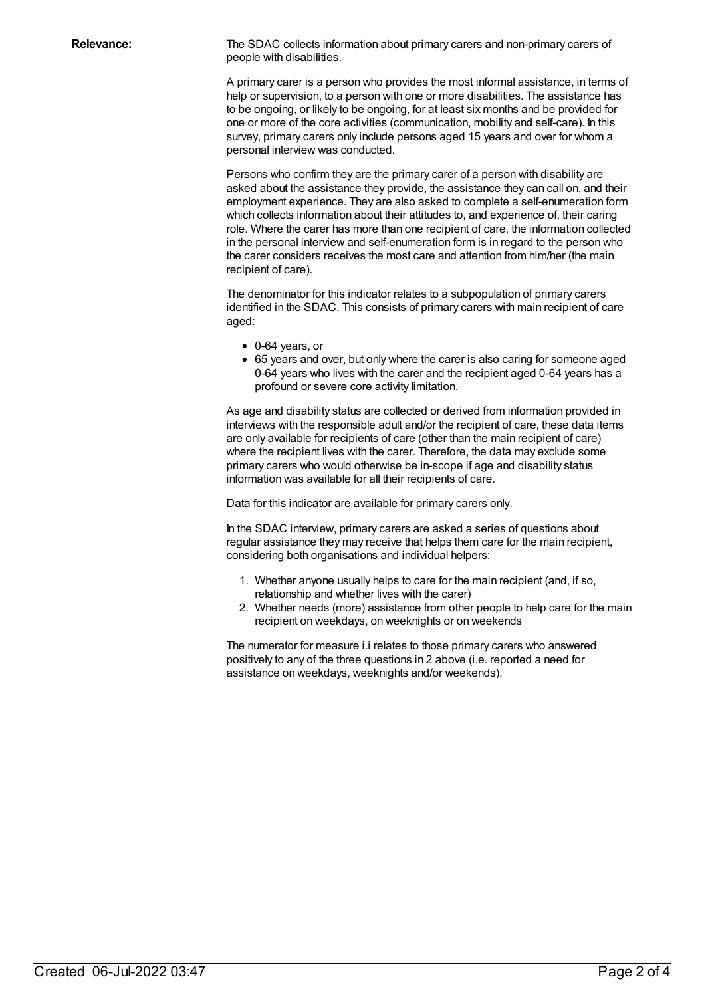**Relevance:** The SDAC collects information about primary carers and non-primary carers of people with disabilities.

> A primary carer is a person who provides the most informal assistance, in terms of help or supervision, to a person with one or more disabilities. The assistance has to be ongoing, or likely to be ongoing, for at least six months and be provided for one or more of the core activities (communication, mobility and self-care). In this survey, primary carers only include persons aged 15 years and over for whom a personal interview was conducted.

> Persons who confirm they are the primary carer of a person with disability are asked about the assistance they provide, the assistance they can call on, and their employment experience. They are also asked to complete a self-enumeration form which collects information about their attitudes to, and experience of, their caring role. Where the carer has more than one recipient of care, the information collected in the personal interview and self-enumeration form is in regard to the person who the carer considers receives the most care and attention from him/her (the main recipient of care).

The denominator for this indicator relates to a subpopulation of primary carers identified in the SDAC. This consists of primary carers with main recipient of care aged:

- 0-64 years, or
- 65 years and over, but only where the carer is also caring for someone aged 0-64 years who lives with the carer and the recipient aged 0-64 years has a profound or severe core activity limitation.

As age and disability status are collected or derived from information provided in interviews with the responsible adult and/or the recipient of care, these data items are only available for recipients of care (other than the main recipient of care) where the recipient lives with the carer. Therefore, the data may exclude some primary carers who would otherwise be in-scope if age and disability status information was available for all their recipients of care.

Data for this indicator are available for primary carers only.

In the SDAC interview, primary carers are asked a series of questions about regular assistance they may receive that helps them care for the main recipient, considering both organisations and individual helpers:

- 1. Whether anyone usually helps to care for the main recipient (and, if so, relationship and whether lives with the carer)
- 2. Whether needs (more) assistance from other people to help care for the main recipient on weekdays, on weeknights or on weekends

The numerator for measure i.i relates to those primary carers who answered positively to any of the three questions in 2 above (i.e. reported a need for assistance on weekdays, weeknights and/or weekends).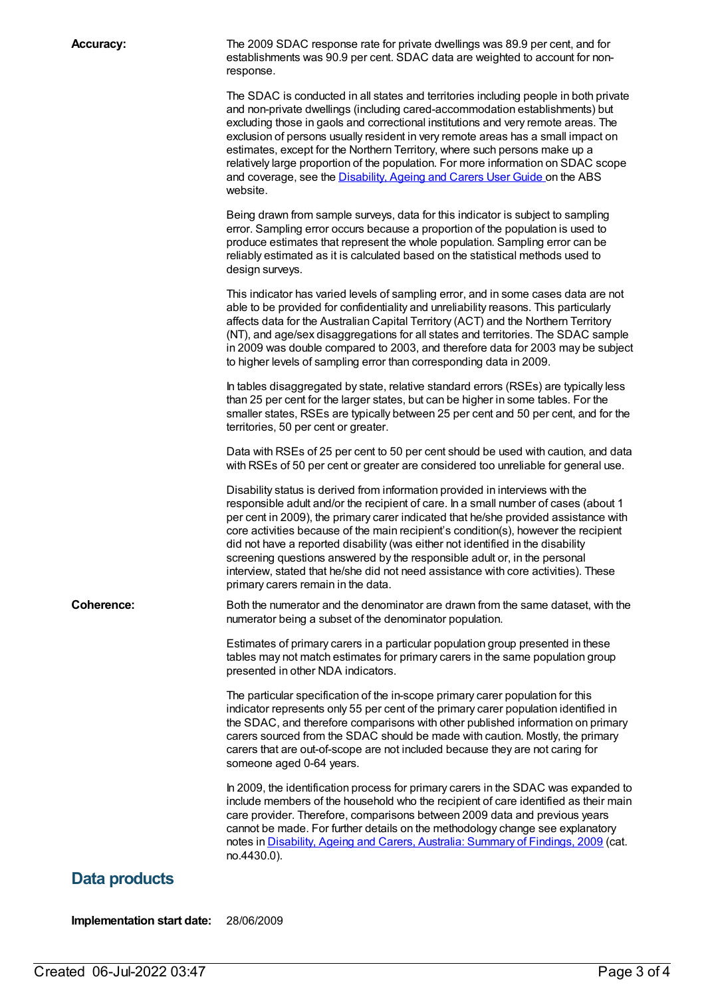**Accuracy:** The 2009 SDAC response rate for private dwellings was 89.9 per cent, and for establishments was 90.9 per cent. SDAC data are weighted to account for nonresponse.

> The SDAC is conducted in all states and territories including people in both private and non-private dwellings (including cared-accommodation establishments) but excluding those in gaols and correctional institutions and very remote areas. The exclusion of persons usually resident in very remote areas has a small impact on estimates, except for the Northern Territory, where such persons make up a relatively large proportion of the population. For more information on SDAC scope and coverage, see the [Disability,](http://www.abs.gov.au/AUSSTATS/abs@.nsf/productsbyCatalogue/AD3B3FB7F90EB3D4CA2570B500830B64?OpenDocument) Ageing and Carers User Guide on the ABS website.

Being drawn from sample surveys, data for this indicator is subject to sampling error. Sampling error occurs because a proportion of the population is used to produce estimates that represent the whole population. Sampling error can be reliably estimated as it is calculated based on the statistical methods used to design surveys.

This indicator has varied levels of sampling error, and in some cases data are not able to be provided for confidentiality and unreliability reasons. This particularly affects data for the Australian Capital Territory (ACT) and the Northern Territory (NT), and age/sex disaggregations for all states and territories. The SDAC sample in 2009 was double compared to 2003, and therefore data for 2003 may be subject to higher levels of sampling error than corresponding data in 2009.

In tables disaggregated by state, relative standard errors (RSEs) are typically less than 25 per cent for the larger states, but can be higher in some tables. For the smaller states, RSEs are typically between 25 per cent and 50 per cent, and for the territories, 50 per cent or greater.

Data with RSEs of 25 per cent to 50 per cent should be used with caution, and data with RSEs of 50 per cent or greater are considered too unreliable for general use.

Disability status is derived from information provided in interviews with the responsible adult and/or the recipient of care. In a small number of cases (about 1 per cent in 2009), the primary carer indicated that he/she provided assistance with core activities because of the main recipient's condition(s), however the recipient did not have a reported disability (was either not identified in the disability screening questions answered by the responsible adult or, in the personal interview, stated that he/she did not need assistance with core activities). These primary carers remain in the data.

**Coherence:** Both the numerator and the denominator are drawn from the same dataset, with the numerator being a subset of the denominator population.

> Estimates of primary carers in a particular population group presented in these tables may not match estimates for primary carers in the same population group presented in other NDA indicators.

The particular specification of the in-scope primary carer population for this indicator represents only 55 per cent of the primary carer population identified in the SDAC, and therefore comparisons with other published information on primary carers sourced from the SDAC should be made with caution. Mostly, the primary carers that are out-of-scope are not included because they are not caring for someone aged 0-64 years.

In 2009, the identification process for primary carers in the SDAC was expanded to include members of the household who the recipient of care identified as their main care provider. Therefore, comparisons between 2009 data and previous years cannot be made. For further details on the methodology change see explanatory notes in [Disability,](http://www.abs.gov.au/ausstats/abs@.nsf/mf/4430.0) Ageing and Carers, Australia: Summary of Findings, 2009 (cat. no.4430.0).

## **Data products**

**Implementation start date:** 28/06/2009